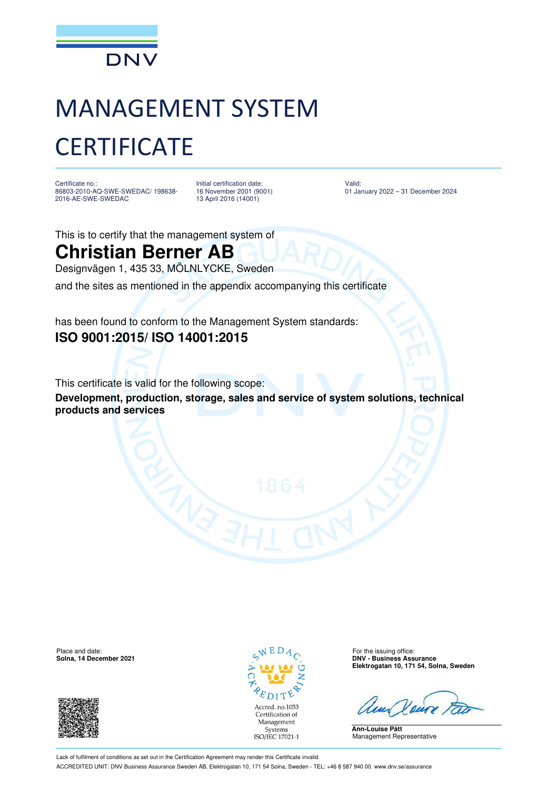

## MANAGEMENT SYSTEM **CERTIFICATE**

Certificate no.: 86803-2010-AQ-SWE-SWEDAC/ 198638- 2016-AE-SWE-SWEDAC

Initial certification date: 16 November 2001 (9001) 13 April 2016 (14001)

Valid: 01 January 2022 – 31 December 2024

This is to certify that the management system of

## **Christian Berner AB**

Designvägen 1, 435 33, MÖLNLYCKE, Sweden

and the sites as mentioned in the appendix accompanying this certificate

has been found to conform to the Management System standards: **ISO 9001:2015/ ISO 14001:2015**

This certificate is valid for the following scope:

**Development, production, storage, sales and service of system solutions, technical products and services** 

Place and date: For the issuing office:  $\sqrt{E} D A$  For the issuing office:





**Solna, 14 December 2021 DNV - Business Assurance Elektrogatan 10, 171 54, Solna, Sweden**

**Ann-Louise Pått** Management Representative

Lack of fulfilment of conditions as set out in the Certification Agreement may render this Certificate invalid. ACCREDITED UNIT: DNV Business Assurance Sweden AB, Elektrogatan 10, 171 54 Solna, Sweden - TEL: +46 8 587 940 00. www.dnv.se/assurance